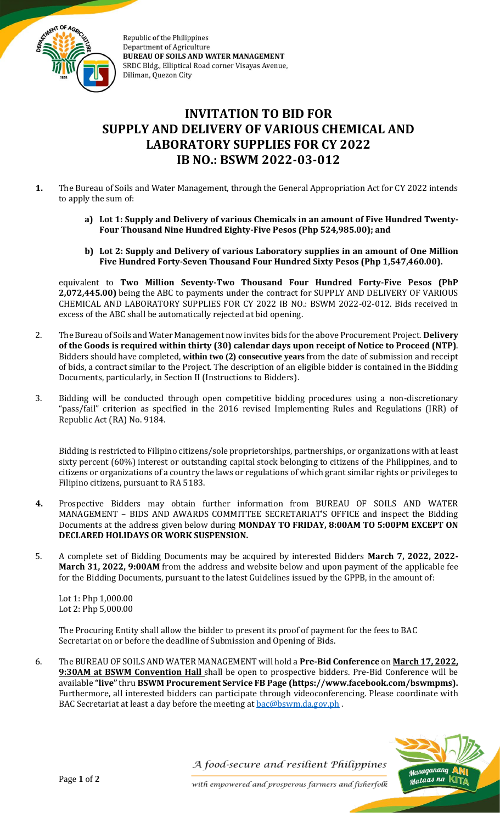

Republic of the Philippines **Department of Agriculture BUREAU OF SOILS AND WATER MANAGEMENT** SRDC Bldg., Elliptical Road corner Visayas Avenue, Diliman, Quezon City

## **INVITATION TO BID FOR SUPPLY AND DELIVERY OF VARIOUS CHEMICAL AND LABORATORY SUPPLIES FOR CY 2022 IB NO.: BSWM 2022-03-012**

- **1.** The Bureau of Soils and Water Management, through the General Appropriation Act for CY 2022 intends to apply the sum of:
	- **a) Lot 1: Supply and Delivery of various Chemicals in an amount of Five Hundred Twenty-Four Thousand Nine Hundred Eighty-Five Pesos (Php 524,985.00); and**
	- **b) Lot 2: Supply and Delivery of various Laboratory supplies in an amount of One Million Five Hundred Forty-Seven Thousand Four Hundred Sixty Pesos (Php 1,547,460.00).**

equivalent to **Two Million Seventy-Two Thousand Four Hundred Forty-Five Pesos (PhP 2,072,445.00)** being the ABC to payments under the contract for SUPPLY AND DELIVERY OF VARIOUS CHEMICAL AND LABORATORY SUPPLIES FOR CY 2022 IB NO.: BSWM 2022-02-012. Bids received in excess of the ABC shall be automatically rejected at bid opening.

- 2. The Bureau of Soils and Water Management now invites bids for the above Procurement Project. **Delivery of the Goods is required within thirty (30) calendar days upon receipt of Notice to Proceed (NTP)**. Bidders should have completed, **within two (2) consecutive years** from the date of submission and receipt of bids, a contract similar to the Project. The description of an eligible bidder is contained in the Bidding Documents, particularly, in Section II (Instructions to Bidders).
- 3. Bidding will be conducted through open competitive bidding procedures using a non-discretionary "pass/fail" criterion as specified in the 2016 revised Implementing Rules and Regulations (IRR) of Republic Act (RA) No. 9184.

Bidding is restricted to Filipino citizens/sole proprietorships, partnerships, or organizations with at least sixty percent (60%) interest or outstanding capital stock belonging to citizens of the Philippines, and to citizens or organizations of a country the laws or regulations of which grant similar rights or privileges to Filipino citizens, pursuant to RA 5183.

- **4.** Prospective Bidders may obtain further information from BUREAU OF SOILS AND WATER MANAGEMENT – BIDS AND AWARDS COMMITTEE SECRETARIAT'S OFFICE and inspect the Bidding Documents at the address given below during **MONDAY TO FRIDAY, 8:00AM TO 5:00PM EXCEPT ON DECLARED HOLIDAYS OR WORK SUSPENSION.**
- 5. A complete set of Bidding Documents may be acquired by interested Bidders **March 7, 2022, 2022- March 31, 2022, 9:00AM** from the address and website below and upon payment of the applicable fee for the Bidding Documents, pursuant to the latest Guidelines issued by the GPPB, in the amount of:

Lot 1: Php 1,000.00 Lot 2: Php 5,000.00

The Procuring Entity shall allow the bidder to present its proof of payment for the fees to BAC Secretariat on or before the deadline of Submission and Opening of Bids.

6. The BUREAU OF SOILS AND WATER MANAGEMENT will hold a **Pre-Bid Conference** on **March 17, 2022, 9:30AM at BSWM Convention Hall** shall be open to prospective bidders. Pre-Bid Conference will be available **"live"** thru **BSWM Procurement Service FB Page (https://www.facebook.com/bswmpms).**  Furthermore, all interested bidders can participate through videoconferencing. Please coordinate with BAC Secretariat at least a day before the meeting at [bac@bswm.da.gov.ph](mailto:bac@bswm.da.gov.ph).

> <sub>Masaganang</sub> Malaas na

A food-secure and resilient Philippines

with empowered and prosperous farmers and fisherfolk